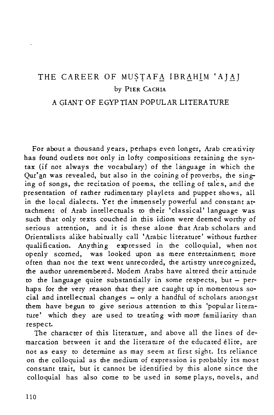## THE CAREER OF MUSTAFA IBRAHIM 'AJAJ by PIER CACHIA

## A GIANT OF EGYPTIAN POPULAR LITERATURE

For about a thousand years, perhaps even longer, Arab creativity has found oudets not only in lofty compositions retaining the syntax (if not always the vocabulary) of the language in which the Qur'an was revealed, but also in the coining of proverbs, the singing of songs, the recitation of poems, the telling of tales, and the presentation of rather rudimentary playlets and puppet shows, all in the local dialects. Yet the immensely powerful and constant attachment of Arab intellectuals to their 'classical' language was such that only texts couched in this idiom were deemed worthy of serious attention, and it is these alone that Arab scholars and Orientalists alike habitually call 'Arabic literature' without further qualification. Anything expressed in the colloquial, when not openly scorned, was looked upon as mere entertainment; more often than not the text went unrecorded, the artistry unrecognized, the author unremembered. Modern Arabs have altered their attitude to the language quite substantially in some respects, but  $-$  perhaps for the very reason that they are caught up in momentous social and intellectual changes - only a handful of scholars amongst them have begun to give serious attention to this 'popular literature' which they are used to treating with more familiarity than respect.

The character of this literature, and above all the lines of demarcation between it and the literature of the educated elite, are not as easy to determine as may seem at first sight. Its reliance on the colloquial as the medium of expression is probably its most constant trait, but it cannot be identified by this alone since the colloquial has also come to be used in some plays, novels, and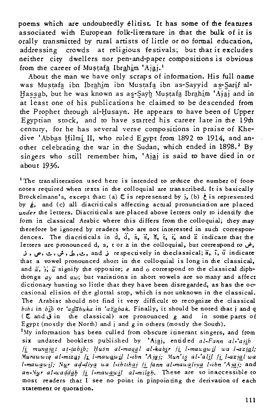poems which are undoubtedly elitist. It has some of the features associated with European folk-literature in that the bulk of it is orally transmitted by rural artists of little or no formal education. addressing crowds at religious festivals; but that it excludes neither city dwellers nor pen-and-paper compositions is obvious from the career of Mustafa Ibrahim 'Ajai.<sup>1</sup>

About the man we have only scraps of information. His full name was Mustafa ibn Ibrahim ibn Mustafa ibn as-Sayyid as-Sarif al-Hassab, but he was known as as-Sayh Mustafa Ibrahim 'Ajaj and in at least one of his publications he claimed to be descended from the Prophet through al-Husayn. He appears to have been of Upper Egyptian stock, and to have started his career late in the 19th century, for he has several verse compositions in praise of Khedive 'Abbas Hilmi II, who ruled Egypt from 1892 to 1914, and another celebrating the war in the Sudan, which ended in 1898.<sup>2</sup> By singers who still remember him, 'Ajaj is said to have died in or about 1936.

<sup>1</sup> The transliteration used here is intended to reduce the number of footnotes required when texts in the colloquial are transcribed. It is basically Brockelmann's, except that: (a)  $\overline{c}$  is represented by j, (b)  $\overline{f}$  is represented by  $k$ , and (c) all diacriticals affecting actual pronunciation are placed *under* the letters. Diacriticals are placed above letters only to identify the form in classical Arabic where this differs from the colloquial; they may therefore be ignored by readers who are not interested in such correspondences. The diacriticals in  $d, d, s, s, s, t, t$ , and  $\ddot{z}$  indicate that the letters are pronounced d, s, t or z in the colloquial, but correspond to  $\phi$ , j , t.espectively in theclassical; a, i, u indicate زي, ط , ش, ث ,ص , ف that a vowel pronounced short in the colloquial is long in the classical, and  $\ddot{a}$ ,  $\dddot{i}$ ,  $\dddot{u}$  signify the opposite; *e* and  $o$  correspond to the classical diphthongs *ay* and *aw;* but variations in short vowels are so many and affect dictionary hunting so little that they have been disregarded, as has the occasional elision of the glottal stop, which is not unknown in the classical. The Arabist should not find it very difficult to recognize the classical *bihi* in *bih* or *'adabuka* in 'azabak. Finally, it should be noted that j and q ( c:: and J in the classical) are pronounced g and in some parts of Egypt (mostly the North) and j and g in others (mostly the South).

<sup>2</sup>My information has been culled from obscure itinerant singers, and from six undated booklets published by 'Ajaj, entitled al-Fann al-'ajib  $f$ i munajat at-tabib; Husn al-maqal al-kabir *fi l-maugwil wa l-azjal*;  $M$ urawwiq al-mizaj /i *l-mawawil l-ibn 'Ajaj: Mun'is al-'alil /i l-azjal wa* l-mawgwil; Nur ad-diya wa l-ibtihaj *fi fann al-mawgliya l-ibn 'Ajaj*; and an-Nur al-waddab *fi l-mawawil al-milah*. These are so inaccessible to most readers that I see no point in pinpointing the derivation of each statement or quotation.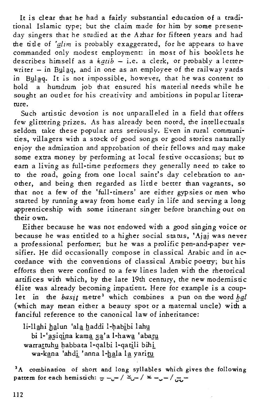It is clear that he had a fairly substantial education of a traditional Islamic type; but the claim made for him by some presentday singers that he srudied at the Azhar for fifteen years and had the title of '*glim* is probably exaggerated, for he appears to have commanded only modest employment: in most of his booklets he describes himself as a  $kathb - i.e.$  a clerk, or probably a letterwriter  $-$  in Bulaq, and in one as an employee of the railway yards in Bulaq. It is not impossible, however, that he was content to hold a humdrum job that ensured his material needs while he sought an outlet for his creativity and ambitions in popular literature.

Such artistic devotion is not unparalleled in a field that offers few glittering prizes. As has already been noted, the intellectuals seldom take these popular arts seriously. Even in rural communities, villagers with a stock of good songs or good stories naturally enjoy the admiration and approbation of their fellows and may make some extra money by performing at local festive occasions; but to earn a living as full-time performers they generally need to take to to the road, going from one local saint's day celebration to another, and being then regarded as little better than vagrants, so that not a few of the 'full-timers' are either gypsies or men who started by running away from home early in life and serving a long apprenticeship with some itinerant singer before branching out on their own.

*Either* because he was not endowed with a good singing voice or because he was entitled to a higher social status, 'Ajaj was never a professional performer, but he was a prolific pen-and-paper versifier. He did occasionally compose in classical Arabic and in accordance with the conventions of classical Arabic poetry; but his efforts then were confined to a few lines laden with the rhetorical artifices with which, by the late 19th century, the new modernistic elite was already *becoming* impatient. Here for example is a couplet in the *basit* metre<sup>3</sup> which combines a pun on the word *bal* (which may mean either a beauty spot or a maternal uncle) with a fanciful reference to the canonical law of inheritance:

li-llahi halun 'ala haddi l-habibi lahu bi l-'asiqina kama sa'a l-hawa 'abatu warrattuhu habbata l-qalbi l-qatili bihi wa-kana 'ahdi 'anna l-hala la yaritu

<sup>3</sup>A combination of short and long syllables which gives the following pattern for each hemistich:  $\frac{1}{2} - \frac{1}{2} - \frac{1}{2} = \frac{1}{2} - \frac{1}{2} = \frac{1}{2}$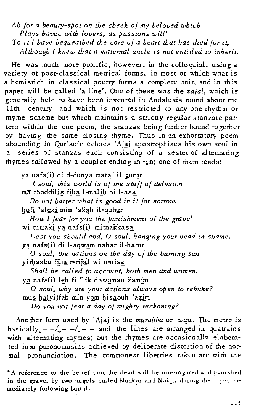*Ah for a beauty-spot on the cheek of* my *beloved which Plays havoc with lovers, as passions will' To it I have bequeathed the core of a heart that has died for it. Although* I *knew that a maternal unCle is not entitled to inherit.* 

He was much more prolific, however, in the colloquial, using a variety of pose-classical metrical forms, in most of which what *is*  a hemistich in classical poetry forms a complete unit, and in *this*  paper will be called 'a line'. One of these was the *zajal,* which is generally held to have been invented in Andalusia round about the 11th century and which is not restricted to anyone rhythm or rhyme scheme but which maintains a strictly regular stanzaic pattern within the one poem, the stanzas being further bound together by having the same closing rhyme. Thus in an exhortatory poem abounding in Qur'anic echoes 'Ajaj apostrophises his own soul in a series of stanzas each consisting of a sestet of al ternating rhymes followed by a couplet ending in -im; one of them reads:

yā nafs(i) di d-dunya mata' il gurur ( *soul, this world is of the stuff of delusion*  ma tbaddilis fiha l-malih bi l-asa *Do not barter what is good in it for sorrow.*  hofi 'aleki min 'azab il-qubur *How I fear for you the punishment of the grave4*  wi tutraki ya nafs(i) mitnakkasa *Lest you should end,* 0 *soul, hanging your head in shame.*  ya nafs(i) di l-aqwam nahar il-harur o *soul, the nations on the day of the burning sun*  yithasbu fiha r-rijal wi n-nisa *Shall be call ed to account. both men and women.*  ya nafs(i) leh fi 'lik dawaman žamim o *soul, why are your actions always open to rebuke?*  mus ha(yi)fah min yom hisabuh 'azim *Do you not fear a day of mighty reckoning?* 

Another form used by 'Ajaj is the *murabba* or waw. The metre is basically\_-  $-\angle$  - $\angle$ - - and the lines are arranged in quatrains with alternating rhymes; but the rhymes are occasionally elaborated into paronomasias achieved by deliberate distortion of the normal pronunciation. The commonest liberties taken are with the

<sup>4</sup> A reference to the belief that the dead will be interrogated and punished in the grave, by two angels called Munkar and Nakir, during the night immediately following burial.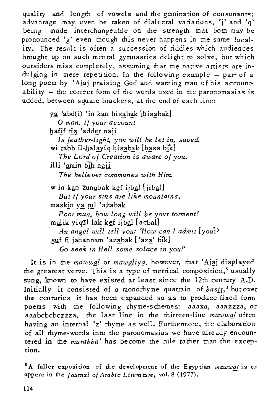quality and length of vowels and the gemination of consonants; advantage may even be taken of dialectal variations, 'i' and 'q' being made interchangeable on the strength that both may be pronounced 'g' even though this never happens in the same locality. The result is often a succession of riddles which audiences brought up on such mental gymnastics delight to solve, but which outsiders miss completely, assuming that the native artists are indulging in mere repetition. In the following example  $-$  part of a long poem by 'Ajaj praising God and warning man of his accountability  $-$  the correct form of the words used in the paronomasias is added, between square brackets, at the end of each line:

> ya 'abd(i) 'in kan hisabak [hisabak] o *man, if your account*  hafif ris 'addet naii *Is feather-light, you will be let in, saved.*  wi rabb il-halayiq hisabak [hass bik] *The Lord of Creation is aware of you.*  illi 'amin bih naji *The believer communes with Him.*   $w$  in kan  $z$ unubak kef ijbal [jibal] *But if your sins are like mountains,*  maskin ya tul 'ażabak *Poor man, how long will be your torment!*  malik yiqul lak kef ijbal [aqbal] .. *An angel will tell you: 'How can I admit [you]?*  suf fi jahannam 'azabak ['aza' bik] Go *seek in Hell some solace in you!'*

It is in the *mawwal* or *mawaliya*, however, that 'Ajaj displayed the greatest verve. This is a type of metrical composition,<sup>5</sup> usually sung, known to have existed at least since the 12th century A.D. Initially it consisted of a monorhyme quatrain of *basit,3* but over the centuries it has been expanded so as to produce fixed fonn poems with the following rhyme-schemes: aaaxa, aaazzza, or aaabcbcbczzza, the last line in the thirteen-line *mawwal* often having an internal 'z' rhyme as well. Furthermore, the elaboration of all rhyme-words into the paronomasias we have already encountered in the *murabba'* has become the rule rather than the exception.

<sup>5</sup> A fuller exposition of the development of the Egyptian *mawwal* is to appear in the *Journal* 0/ *Arabic Literature,* vol.8 (1977).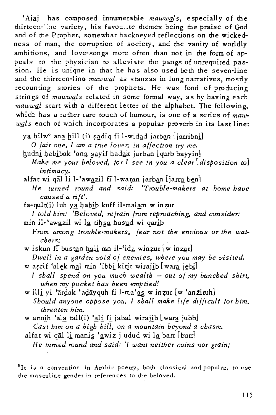'Ajaj has composed innumerable *mawwgjs,* especially of **the**  thirteen-'ine variety, his favousite themes being the praise of God and of the Prophet, somewhat hackneyed reflections on the wickedness of man, the corruption of society, and the vanity of worldly ambitions, and love-songs more often than not in the form of appeals to the physician to alleviate the pangs of unrequited passion. He is unique in that he has also used both the seven-line and the thirteen-line *mawwgl* as stanzas in long narratives, mosdy recounting stories of the prophets. He was fond of producing strings of *mawwgls* related in some formal way, as by having each mawwal start with a different letter of the alphabet. The following, which has a rather rare touch of humour, is one of a series of *maw*wals each of which incorporates a popular proverb in its last line:

ya hilw<sup>6</sup> ana hill (i) sadiq fi l-widad jarban [jarribni]

o *fair one,* / *am a true lover; in affection try me.* 

hudni habibak 'ana sayif hadak jarban [qurb bayyin]

*Make me your beloved, for* / *see in you a clear [disposition to] intimacy.* 

alfat wi qal li l-'awazil fil-watan jarban [jarru ben]

*He turned round and said: 'Trouble-makers at bome have caused a rift'.* 

 $fa$ -qult(i) luh ya habib kuff il-malam w inzur

*/ told him: 'Beloved, refrain from reproaching. and consider:*  min il-'awazil wi la tihsa hasud wi qarib

*From among trouble-makers, fear not the envious* or *the watchers;* 

w iskun fi bustan hali mn il-'ida winzur  $[w \text{ inzar}]$ *Dwell in a garden void of enemies, where you may be visited.* 

w asrif 'alek mal min 'ibbi kitir wirajib [wara jebi] */ shall spend on you much wealth* - *out of* my *bunched shirt,* 

*when my pocket has been emptied!* 

w illi yi 'ärdak 'adāyquh fi l-ma'as w inzur [w 'anžiruh] *Should anyone oppose you,* / *shall make life difficult for him, threaten him.* 

w armih 'ala tall(i) 'ali fi jabal wirajib [wara jubb] *Cast him on a high hill, on a mountain beyond a chasm.* 

alfat wi qāl li manis 'awiz j udud wi la barr [burr] *He turned round and said:* '/ *want neither coins nor grain;* 

6It is a convention in Arabic poetry, both classical and popular, to use the masculine gender in references to the beloved.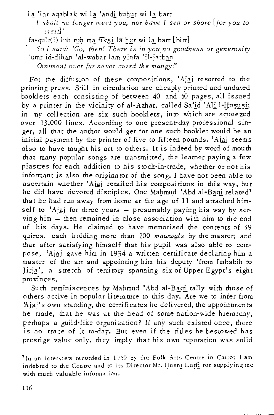la 'int aqablak wi la 'andi buhur wi la barr

*I* shall no longer meet you, nor have I sea or shore [for you to  $\overline{1}$ 

 $fa$ - qul t(i) luh ruh ma fiksi la her wi la barr [birr]

*So I said: 'Go, then! There is in you no goodness or generosity* 'umr id-dihan 'al-wabar lam yinfa 'il-jarban

*Ointment over fUT never cured the mangy."* 

For the diffusion of these compositions, 'Ajgj resorted to the printing press. Still in circulation are cheaply printed and undated booklets each consisting of between 40 and 50 pages, all issued by a printer in the vicinity of al-Azhar, called  $Sa'id'$ Ali l-Hususi; in my collection are six such booklets, into which are squeezed over 13,000 lines. According to one present-day professional singer, all that the author would get for one such booklet would be an initial payment by the printer of five to fifteen pounds. 'Ajaj seems also to have taught *his* art to others. It is indeed by word of mouth that many popular songs are transmi tted, the learner paying a few piastres for each addition to his stock-in-trade, whether or not his informant *is* also the originator of the song. I have not been able to ascertain whether 'Amj retailed *his* compositions in this way, but he did have devoted disciples. One Mahmud 'Abd al-Baqi related' that he had run away from home at the age of 11 and attached himself to 'Ajaj for three years  $-$  presumably paying his way by serving him - then remained in close association with him to the end of his days. He claimed to have memorised the contents of 39 *quires,* each holding more than 200 *mawwgls* by the master; and that after satisfying himself that his pupil was also able to compose, 'Ajaj gave him in 1934 a written certificate declaring him a master of the art and appointing him his deputy 'from Imbabih to *Jirjg',* a stretch of territory spanning six of Upper Egypt's eight provinces.

Such reminiscences by Mahmud 'Abd al-Bagi tally with those of others active in popular literature to *this* day. Are we to infer from 'Ajaj's own standing, the certificates he delivered, the appointments he made, that he was at the head of some nation-wide hierarchy, perhaps a guild-like organization? If any such *existed* once, there is no trace of *it* to-day. But even if the titles he bestowed has prestige value only, they imply that *his* own reputation was solid

7In an interview recorded in 1959 by the Folk Arts Centre in Cairo; I am indebted to the Centre and to its Director Mr. Husni Lutfi for supplying me with much valuable information.